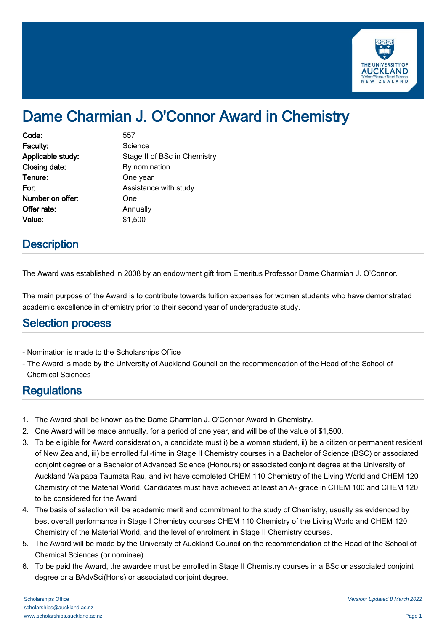

# Dame Charmian J. O'Connor Award in Chemistry

| Code:             | 557                          |
|-------------------|------------------------------|
| Faculty:          | Science                      |
| Applicable study: | Stage II of BSc in Chemistry |
| Closing date:     | By nomination                |
| Tenure:           | One year                     |
| For:              | Assistance with study        |
| Number on offer:  | One                          |
| Offer rate:       | Annually                     |
| Value:            | \$1,500                      |

### **Description**

The Award was established in 2008 by an endowment gift from Emeritus Professor Dame Charmian J. O'Connor.

The main purpose of the Award is to contribute towards tuition expenses for women students who have demonstrated academic excellence in chemistry prior to their second year of undergraduate study.

#### Selection process

- Nomination is made to the Scholarships Office
- The Award is made by the University of Auckland Council on the recommendation of the Head of the School of Chemical Sciences

## **Regulations**

- 1. The Award shall be known as the Dame Charmian J. O'Connor Award in Chemistry.
- 2. One Award will be made annually, for a period of one year, and will be of the value of \$1,500.
- 3. To be eligible for Award consideration, a candidate must i) be a woman student, ii) be a citizen or permanent resident of New Zealand, iii) be enrolled full-time in Stage II Chemistry courses in a Bachelor of Science (BSC) or associated conjoint degree or a Bachelor of Advanced Science (Honours) or associated conjoint degree at the University of Auckland Waipapa Taumata Rau, and iv) have completed CHEM 110 Chemistry of the Living World and CHEM 120 Chemistry of the Material World. Candidates must have achieved at least an A- grade in CHEM 100 and CHEM 120 to be considered for the Award.
- 4. The basis of selection will be academic merit and commitment to the study of Chemistry, usually as evidenced by best overall performance in Stage I Chemistry courses CHEM 110 Chemistry of the Living World and CHEM 120 Chemistry of the Material World, and the level of enrolment in Stage II Chemistry courses.
- 5. The Award will be made by the University of Auckland Council on the recommendation of the Head of the School of Chemical Sciences (or nominee).
- 6. To be paid the Award, the awardee must be enrolled in Stage II Chemistry courses in a BSc or associated conjoint degree or a BAdvSci(Hons) or associated conjoint degree.